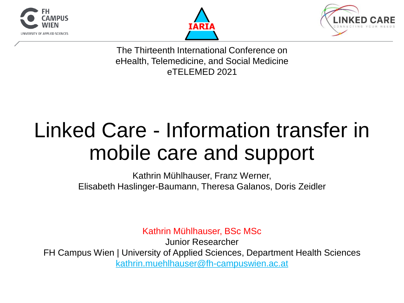





The Thirteenth International Conference on eHealth, Telemedicine, and Social Medicine eTELEMED 2021

# Linked Care - Information transfer in mobile care and support

Kathrin Mühlhauser, Franz Werner, Elisabeth Haslinger-Baumann, Theresa Galanos, Doris Zeidler

Kathrin Mühlhauser, BSc MSc

Junior Researcher FH Campus Wien | University of Applied Sciences, Department Health Sciences [kathrin.muehlhauser@fh-campuswien.ac.at](mailto:kathrin.muehlhauser@fh-campuswien.ac.at)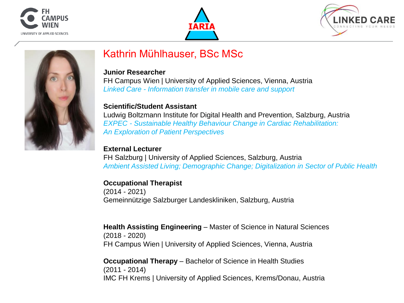







#### Kathrin Mühlhauser, BSc MSc

#### **Junior Researcher**

FH Campus Wien | University of Applied Sciences, Vienna, Austria *Linked Care - Information transfer in mobile care and support*

#### **Scientific/Student Assistant**

Ludwig Boltzmann Institute for Digital Health and Prevention, Salzburg, Austria *EXPEC - Sustainable Healthy Behaviour Change in Cardiac Rehabilitation: An Exploration of Patient Perspectives*

#### **External Lecturer**

FH Salzburg | University of Applied Sciences, Salzburg, Austria *Ambient Assisted Living; Demographic Change; Digitalization in Sector of Public Health*

#### **Occupational Therapist**

(2014 - 2021) Gemeinnützige Salzburger Landeskliniken, Salzburg, Austria

**Health Assisting Engineering** – Master of Science in Natural Sciences (2018 - 2020) FH Campus Wien | University of Applied Sciences, Vienna, Austria

**Occupational Therapy** – Bachelor of Science in Health Studies (2011 - 2014) IMC FH Krems | University of Applied Sciences, Krems/Donau, Austria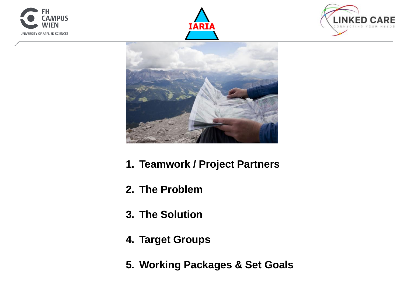







- **1. Teamwork / Project Partners**
- **2. The Problem**
- **3. The Solution**
- **4. Target Groups**
- **5. Working Packages & Set Goals**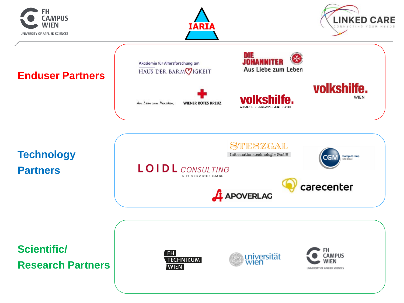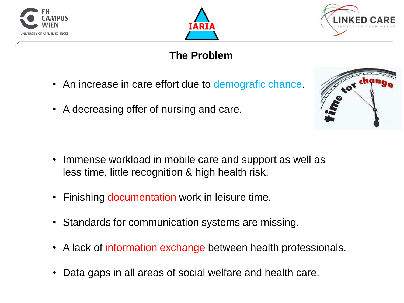





## **The Problem**

- An increase in care effort due to demografic chance.
- A decreasing offer of nursing and care.

- Immense workload in mobile care and support as well as less time, little recognition & high health risk.
- Finishing documentation work in leisure time.
- Standards for communication systems are missing.
- A lack of information exchange between health professionals.
- Data gaps in all areas of social welfare and health care.

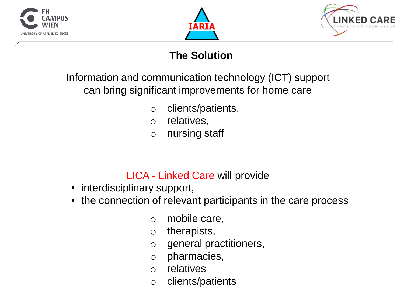





## **The Solution**

Information and communication technology (ICT) support can bring significant improvements for home care

- o clients/patients,
- o relatives,
- o nursing staff

#### LICA - Linked Care will provide

- interdisciplinary support,
- the connection of relevant participants in the care process
	- o mobile care,
	- o therapists,
	- o general practitioners,
	- o pharmacies,
	- o relatives
	- o clients/patients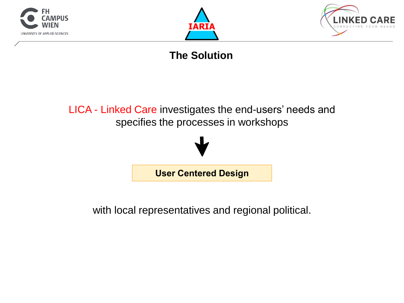





## **The Solution**





with local representatives and regional political.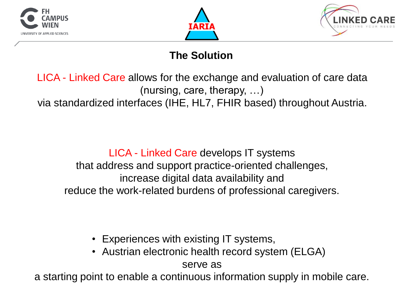





## **The Solution**

LICA - Linked Care allows for the exchange and evaluation of care data (nursing, care, therapy, …) via standardized interfaces (IHE, HL7, FHIR based) throughout Austria.

LICA - Linked Care develops IT systems that address and support practice-oriented challenges, increase digital data availability and reduce the work-related burdens of professional caregivers.

- Experiences with existing IT systems,
- Austrian electronic health record system (ELGA)

serve as

a starting point to enable a continuous information supply in mobile care.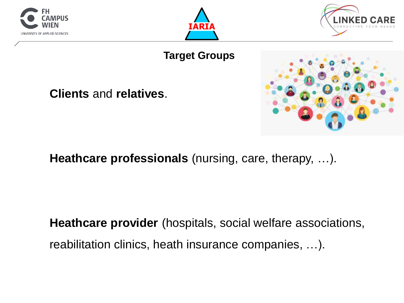





#### **Target Groups**

**Clients** and **relatives**.



**Heathcare professionals** (nursing, care, therapy, …).

**Heathcare provider** (hospitals, social welfare associations, reabilitation clinics, heath insurance companies, …).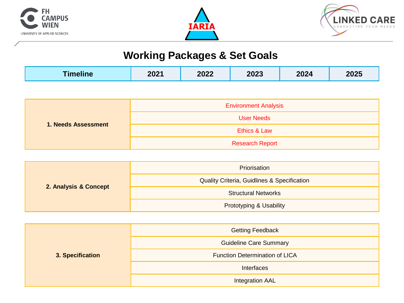





# **Working Packages & Set Goals**

| 1. Needs Assessment | <b>Environment Analysis</b> |
|---------------------|-----------------------------|
|                     | User Needs                  |
|                     | Ethics & Law                |
|                     | <b>Research Report</b>      |

| 2. Analysis & Concept | Priorisation                                |  |
|-----------------------|---------------------------------------------|--|
|                       | Quality Criteria, Guidlines & Specification |  |
|                       | <b>Structural Networks</b>                  |  |
|                       | Prototyping & Usability                     |  |

| 3. Specification | <b>Getting Feedback</b>        |  |
|------------------|--------------------------------|--|
|                  | <b>Guideline Care Summary</b>  |  |
|                  | Function Determination of LICA |  |
|                  | Interfaces                     |  |
|                  | Integration AAL                |  |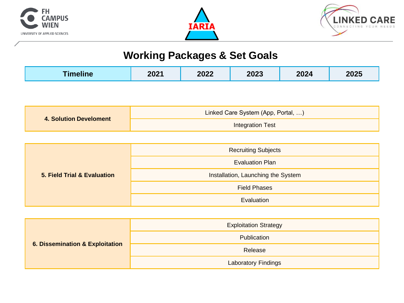





## **Working Packages & Set Goals**

| <b>Timeline</b> | 2021 | 2022 | 2023 | 2024 | 2025 |
|-----------------|------|------|------|------|------|
|-----------------|------|------|------|------|------|

| 4. Solution Develoment | Linked Care System (App, Portal, ) |  |
|------------------------|------------------------------------|--|
|                        | Integration Test                   |  |

| 5. Field Trial & Evaluation | <b>Recruiting Subjects</b>         |  |
|-----------------------------|------------------------------------|--|
|                             | <b>Evaluation Plan</b>             |  |
|                             | Installation, Launching the System |  |
|                             | <b>Field Phases</b>                |  |
|                             | Evaluation                         |  |

| 6. Dissemination & Exploitation | <b>Exploitation Strategy</b> |
|---------------------------------|------------------------------|
|                                 | Publication                  |
|                                 | Release                      |
|                                 | <b>Laboratory Findings</b>   |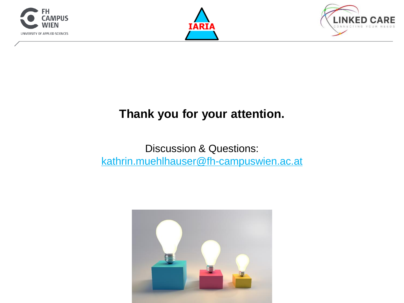





# **Thank you for your attention.**

#### Discussion & Questions: [kathrin.muehlhauser@fh-campuswien.ac.at](mailto:kathrin.muehlhauser@fh-campuswien.ac.at)